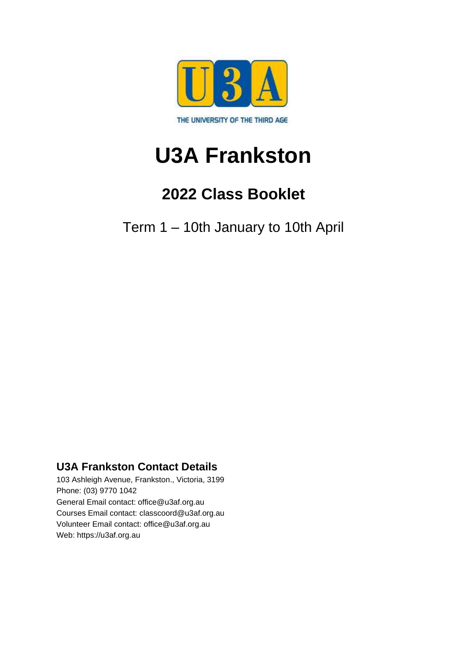

# **U3A Frankston**

# **2022 Class Booklet**

Term 1 – 10th January to 10th April

### **U3A Frankston Contact Details**

103 Ashleigh Avenue, Frankston., Victoria, 3199 Phone: (03) 9770 1042 General Email contact: office@u3af.org.au Courses Email contact: classcoord@u3af.org.au Volunteer Email contact: office@u3af.org.au Web: https://u3af.org.au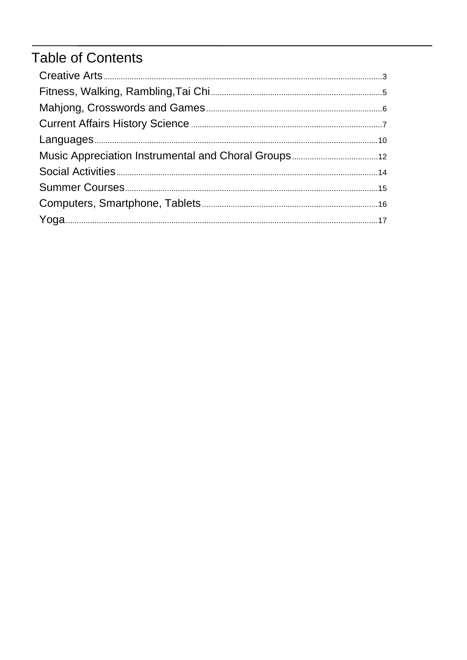# **Table of Contents**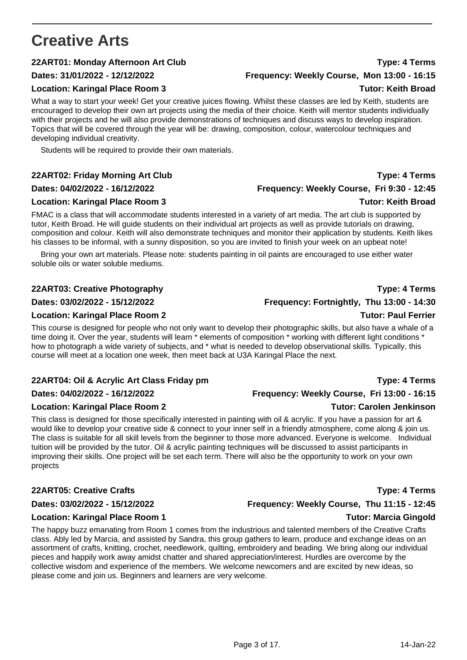# <span id="page-2-0"></span>**Creative Arts**

### **22ART01: Monday Afternoon Art Club Type: 4 Terms**

### **Dates: 31/01/2022 - 12/12/2022 Frequency: Weekly Course, Mon 13:00 - 16:15**

### **Location: Karingal Place Room 3 Tutor: Keith Broad**

What a way to start your week! Get your creative juices flowing. Whilst these classes are led by Keith, students are encouraged to develop their own art projects using the media of their choice. Keith will mentor students individually with their projects and he will also provide demonstrations of techniques and discuss ways to develop inspiration. Topics that will be covered through the year will be: drawing, composition, colour, watercolour techniques and developing individual creativity.

Students will be required to provide their own materials.

#### **Location: Karingal Place Room 3 Tutor: Keith Broad**

FMAC is a class that will accommodate students interested in a variety of art media. The art club is supported by tutor, Keith Broad. He will guide students on their individual art projects as well as provide tutorials on drawing, composition and colour. Keith will also demonstrate techniques and monitor their application by students. Keith likes his classes to be informal, with a sunny disposition, so you are invited to finish your week on an upbeat note!

Bring your own art materials. Please note: students painting in oil paints are encouraged to use either water soluble oils or water soluble mediums.

### **22ART03: Creative Photography Type: 4 Terms**

This course is designed for people who not only want to develop their photographic skills, but also have a whale of a time doing it. Over the year, students will learn \* elements of composition \* working with different light conditions \* how to photograph a wide variety of subjects, and \* what is needed to develop observational skills. Typically, this course will meet at a location one week, then meet back at U3A Karingal Place the next.

### **22ART04: Oil & Acrylic Art Class Friday pm Type: 4 Terms**

#### **Location: Karingal Place Room 2** Tutor: Carolen Jenkinson

This class is designed for those specifically interested in painting with oil & acrylic. If you have a passion for art & would like to develop your creative side & connect to your inner self in a friendly atmosphere, come along & join us. The class is suitable for all skill levels from the beginner to those more advanced. Everyone is welcome. Individual tuition will be provided by the tutor. Oil & acrylic painting techniques will be discussed to assist participants in improving their skills. One project will be set each term. There will also be the opportunity to work on your own projects

### **22ART05: Creative Crafts Type: 4 Terms**

### **Dates: 03/02/2022 - 15/12/2022 Frequency: Weekly Course, Thu 11:15 - 12:45**

#### **Location: Karingal Place Room 1 Tutor: Marcia Gingold**

The happy buzz emanating from Room 1 comes from the industrious and talented members of the Creative Crafts class. Ably led by Marcia, and assisted by Sandra, this group gathers to learn, produce and exchange ideas on an assortment of crafts, knitting, crochet, needlework, quilting, embroidery and beading. We bring along our individual pieces and happily work away amidst chatter and shared appreciation/interest. Hurdles are overcome by the collective wisdom and experience of the members. We welcome newcomers and are excited by new ideas, so please come and join us. Beginners and learners are very welcome.

**Dates: 03/02/2022 - 15/12/2022 Frequency: Fortnightly, Thu 13:00 - 14:30 Location: Karingal Place Room 2 Tutor: Paul Ferrier** 

#### **Dates: 04/02/2022 - 16/12/2022 Frequency: Weekly Course, Fri 13:00 - 16:15**

#### Page 3 of 17. 14-Jan-22

## **22ART02: Friday Morning Art Club Type: 4 Terms Dates: 04/02/2022 - 16/12/2022 Frequency: Weekly Course, Fri 9:30 - 12:45**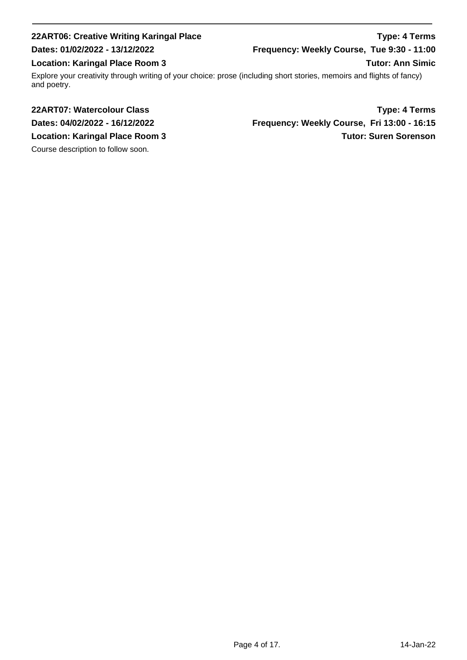### **22ART06: Creative Writing Karingal Place Type: 4 Terms Dates: 01/02/2022 - 13/12/2022 Frequency: Weekly Course, Tue 9:30 - 11:00 Location: Karingal Place Room 3** Tutor: Ann Simic Explore your creativity through writing of your choice: prose (including short stories, memoirs and flights of fancy) and poetry.

Course description to follow soon.

**22ART07: Watercolour Class Type: 4 Terms Dates: 04/02/2022 - 16/12/2022 Frequency: Weekly Course, Fri 13:00 - 16:15 Location: Karingal Place Room 3** Tutor: Suren Sorenson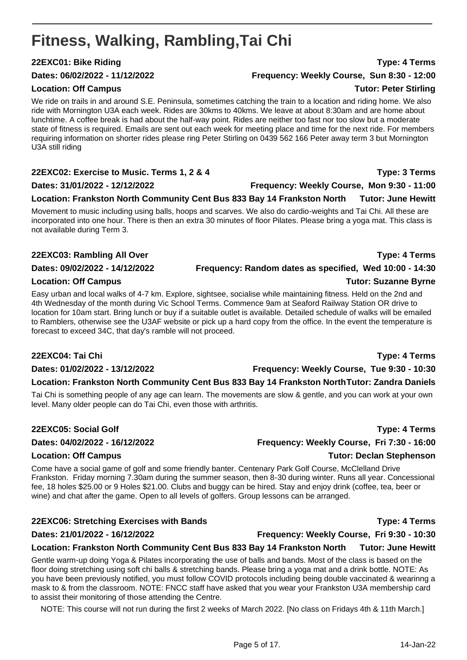# <span id="page-4-0"></span>**Fitness, Walking, Rambling,Tai Chi**

### **22EXC01: Bike Riding Type: 4 Terms**

### **Location: Off Campus Contract Contract Contract Contract Contract Contract Contract Contract Contract Contract Contract Contract Contract Contract Contract Contract Contract Contract Contract Contract Contract Contract Co**

We ride on trails in and around S.E. Peninsula, sometimes catching the train to a location and riding home. We also ride with Mornington U3A each week. Rides are 30kms to 40kms. We leave at about 8:30am and are home about lunchtime. A coffee break is had about the half-way point. Rides are neither too fast nor too slow but a moderate state of fitness is required. Emails are sent out each week for meeting place and time for the next ride. For members requiring information on shorter rides please ring Peter Stirling on 0439 562 166 Peter away term 3 but Mornington U3A still riding

### **22EXC02: Exercise to Music. Terms 1, 2 & 4 Type: 3 Terms**

### **Dates: 31/01/2022 - 12/12/2022 Frequency: Weekly Course, Mon 9:30 - 11:00**

### **Location: Frankston North Community Cent Bus 833 Bay 14 Frankston North Tutor: June Hewitt**

Movement to music including using balls, hoops and scarves. We also do cardio-weights and Tai Chi. All these are incorporated into one hour. There is then an extra 30 minutes of floor Pilates. Please bring a yoga mat. This class is not available during Term 3.

### **22EXC03: Rambling All Over Type: 4 Terms**

### **Dates: 09/02/2022 - 14/12/2022 Frequency: Random dates as specified, Wed 10:00 - 14:30**

### **Location: Off Campus Tutor: Suzanne Byrne**

Easy urban and local walks of 4-7 km. Explore, sightsee, socialise while maintaining fitness. Held on the 2nd and 4th Wednesday of the month during Vic School Terms. Commence 9am at Seaford Railway Station OR drive to location for 10am start. Bring lunch or buy if a suitable outlet is available. Detailed schedule of walks will be emailed to Ramblers, otherwise see the U3AF website or pick up a hard copy from the office. In the event the temperature is forecast to exceed 34C, that day's ramble will not proceed.

### **22EXC04: Tai Chi Type: 4 Terms**

**Dates: 01/02/2022 - 13/12/2022 Frequency: Weekly Course, Tue 9:30 - 10:30**

### **Location: Frankston North Community Cent Bus 833 Bay 14 Frankston NorthTutor: Zandra Daniels**

Tai Chi is something people of any age can learn. The movements are slow & gentle, and you can work at your own level. Many older people can do Tai Chi, even those with arthritis.

### **22EXC05: Social Golf Type: 4 Terms**

Come have a social game of golf and some friendly banter. Centenary Park Golf Course, McClelland Drive Frankston. Friday morning 7.30am during the summer season, then 8-30 during winter. Runs all year. Concessional fee, 18 holes \$25.00 or 9 Holes \$21.00. Clubs and buggy can be hired. Stay and enjoy drink (coffee, tea, beer or wine) and chat after the game. Open to all levels of golfers. Group lessons can be arranged.

### **22EXC06: Stretching Exercises with Bands Type: 4 Terms**

### **Dates: 21/01/2022 - 16/12/2022 Frequency: Weekly Course, Fri 9:30 - 10:30**

**Location: Frankston North Community Cent Bus 833 Bay 14 Frankston North Tutor: June Hewitt** Gentle warm-up doing Yoga & Pilates incorporating the use of balls and bands. Most of the class is based on the floor doing stretching using soft chi balls & stretching bands. Please bring a yoga mat and a drink bottle. NOTE: As you have been previously notified, you must follow COVID protocols including being double vaccinated & wearinng a mask to & from the classroom. NOTE: FNCC staff have asked that you wear your Frankston U3A membership card to assist their monitoring of those attending the Centre.

NOTE: This course will not run during the first 2 weeks of March 2022. [No class on Fridays 4th & 11th March.]

**Dates: 06/02/2022 - 11/12/2022 Frequency: Weekly Course, Sun 8:30 - 12:00**

**Dates: 04/02/2022 - 16/12/2022 Frequency: Weekly Course, Fri 7:30 - 16:00**

### **Location: Off Campus Tutor: Declan Stephenson**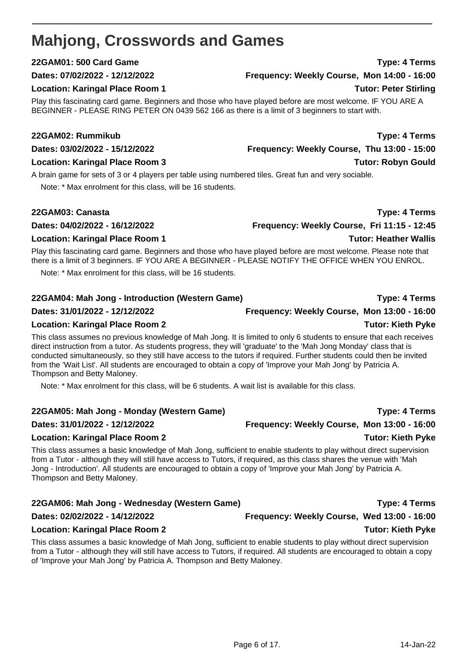# <span id="page-5-0"></span>**Mahjong, Crosswords and Games**

### **22GAM01: 500 Card Game Type: 4 Terms**

### **Dates: 07/02/2022 - 12/12/2022 Frequency: Weekly Course, Mon 14:00 - 16:00**

### **Location: Karingal Place Room 1 Tutor: Peter Stirling**

Play this fascinating card game. Beginners and those who have played before are most welcome. IF YOU ARE A BEGINNER - PLEASE RING PETER ON 0439 562 166 as there is a limit of 3 beginners to start with.

### **22GAM02: Rummikub Type: 4 Terms**

### **Location: Karingal Place Room 3 Tutor: Robyn Gould**

A brain game for sets of 3 or 4 players per table using numbered tiles. Great fun and very sociable. Note: \* Max enrolment for this class, will be 16 students.

### **22GAM03: Canasta Type: 4 Terms**

### **Dates: 04/02/2022 - 16/12/2022 Frequency: Weekly Course, Fri 11:15 - 12:45**

### **Location: Karingal Place Room 1** New York 1 New York 1 New York 1 New York 1 New York 1 New York 1 New York 1 New York 1 New York 1 New York 1 New York 1 New York 1 New York 1 New York 1 New York 1 New York 1 New York 1 N

Play this fascinating card game. Beginners and those who have played before are most welcome. Please note that there is a limit of 3 beginners. IF YOU ARE A BEGINNER - PLEASE NOTIFY THE OFFICE WHEN YOU ENROL.

Note: \* Max enrolment for this class, will be 16 students.

### **22GAM04: Mah Jong - Introduction (Western Game) Type: 4 Terms**

### **Dates: 31/01/2022 - 12/12/2022 Frequency: Weekly Course, Mon 13:00 - 16:00**

### Location: Karingal Place Room 2 and 2 and 2 and 2 and 2 and 2 and 2 and 2 and 2 and 2 and 2 and 2 and 2 and 2 and 2 and 2 and 2 and 2 and 2 and 2 and 2 and 2 and 2 and 2 and 2 and 2 and 2 and 2 and 2 and 2 and 2 and 2 and

This class assumes no previous knowledge of Mah Jong. It is limited to only 6 students to ensure that each receives direct instruction from a tutor. As students progress, they will 'graduate' to the 'Mah Jong Monday' class that is conducted simultaneously, so they still have access to the tutors if required. Further students could then be invited from the 'Wait List'. All students are encouraged to obtain a copy of 'Improve your Mah Jong' by Patricia A. Thompson and Betty Maloney.

Note: \* Max enrolment for this class, will be 6 students. A wait list is available for this class.

### **22GAM05: Mah Jong - Monday (Western Game) Type: 4 Terms**

### **Dates: 31/01/2022 - 12/12/2022 Frequency: Weekly Course, Mon 13:00 - 16:00**

### **Location: Karingal Place Room 2 Tutor: Kieth Pyke**

This class assumes a basic knowledge of Mah Jong, sufficient to enable students to play without direct supervision from a Tutor - although they will still have access to Tutors, if required, as this class shares the venue with 'Mah Jong - Introduction'. All students are encouraged to obtain a copy of 'Improve your Mah Jong' by Patricia A. Thompson and Betty Maloney.

### **22GAM06: Mah Jong - Wednesday (Western Game) Type: 4 Terms**

### **Dates: 02/02/2022 - 14/12/2022 Frequency: Weekly Course, Wed 13:00 - 16:00**

### **Location: Karingal Place Room 2 Tutor: Kieth Pyke**

This class assumes a basic knowledge of Mah Jong, sufficient to enable students to play without direct supervision from a Tutor - although they will still have access to Tutors, if required. All students are encouraged to obtain a copy of 'Improve your Mah Jong' by Patricia A. Thompson and Betty Maloney.

# **Dates: 03/02/2022 - 15/12/2022 Frequency: Weekly Course, Thu 13:00 - 15:00**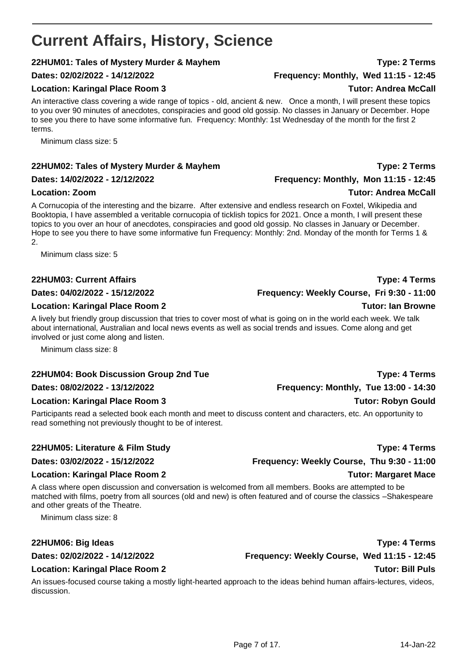# <span id="page-6-0"></span>**Current Affairs, History, Science**

### **22HUM01: Tales of Mystery Murder & Mayhem Type: 2 Terms**

### Location: Karingal Place Room 3 and 100 and 100 and 100 and 100 and 100 and 100 and 100 and 100 and 100 and 100 and 100 and 100 and 100 and 100 and 100 and 100 and 100 and 100 and 100 and 100 and 100 and 100 and 100 and 10

An interactive class covering a wide range of topics - old, ancient & new. Once a month, I will present these topics to you over 90 minutes of anecdotes, conspiracies and good old gossip. No classes in January or December. Hope to see you there to have some informative fun. Frequency: Monthly: 1st Wednesday of the month for the first 2 terms.

Minimum class size: 5

### **22HUM02: Tales of Mystery Murder & Mayhem Type: 2 Terms**

### **Dates: 14/02/2022 - 12/12/2022 Frequency: Monthly, Mon 11:15 - 12:45**

A Cornucopia of the interesting and the bizarre. After extensive and endless research on Foxtel, Wikipedia and Booktopia, I have assembled a veritable cornucopia of ticklish topics for 2021. Once a month, I will present these topics to you over an hour of anecdotes, conspiracies and good old gossip. No classes in January or December. Hope to see you there to have some informative fun Frequency: Monthly: 2nd. Monday of the month for Terms 1 & 2.

Minimum class size: 5

### **22HUM03: Current Affairs Type: 4 Terms**

#### **Dates: 04/02/2022 - 15/12/2022 Frequency: Weekly Course, Fri 9:30 - 11:00**

### **Location: Karingal Place Room 2 Tutor: Ian Browne**

A lively but friendly group discussion that tries to cover most of what is going on in the world each week. We talk about international, Australian and local news events as well as social trends and issues. Come along and get involved or just come along and listen.

Minimum class size: 8

### **22HUM04: Book Discussion Group 2nd Tue Type: 4 Terms**

#### **Dates: 08/02/2022 - 13/12/2022 Frequency: Monthly, Tue 13:00 - 14:30**

### **Location: Karingal Place Room 3 Tutor: Robyn Gould**

Participants read a selected book each month and meet to discuss content and characters, etc. An opportunity to read something not previously thought to be of interest.

### **22HUM05: Literature & Film Study Type: 4 Terms**

A class where open discussion and conversation is welcomed from all members. Books are attempted to be matched with films, poetry from all sources (old and new) is often featured and of course the classics –Shakespeare and other greats of the Theatre.

Minimum class size: 8

### **22HUM06: Big Ideas Type: 4 Terms**

#### **Dates: 02/02/2022 - 14/12/2022 Frequency: Weekly Course, Wed 11:15 - 12:45**

### **Location: Karingal Place Room 2 Tutor: Bill Puls**

An issues-focused course taking a mostly light-hearted approach to the ideas behind human affairs-lectures, videos, discussion.

**Dates: 02/02/2022 - 14/12/2022 Frequency: Monthly, Wed 11:15 - 12:45**

### **Location: Zoom Tutor: Andrea McCall**

**Dates: 03/02/2022 - 15/12/2022 Frequency: Weekly Course, Thu 9:30 - 11:00 Location: Karingal Place Room 2 Tutor: Margaret Mace**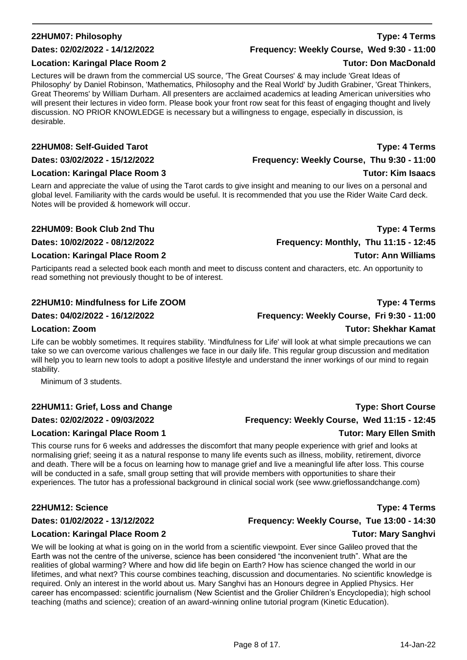### **22HUM07: Philosophy Type: 4 Terms**

### **Dates: 02/02/2022 - 14/12/2022 Frequency: Weekly Course, Wed 9:30 - 11:00**

#### **Location: Karingal Place Room 2 Tutor: Don MacDonald**

Lectures will be drawn from the commercial US source, 'The Great Courses' & may include 'Great Ideas of Philosophy' by Daniel Robinson, 'Mathematics, Philosophy and the Real World' by Judith Grabiner, 'Great Thinkers, Great Theorems' by William Durham. All presenters are acclaimed academics at leading American universities who will present their lectures in video form. Please book your front row seat for this feast of engaging thought and lively discussion. NO PRIOR KNOWLEDGE is necessary but a willingness to engage, especially in discussion, is desirable.

#### **22HUM08: Self-Guided Tarot Type: 4 Terms**

#### **Location: Karingal Place Room 3 Tutor: Kim Isaacs**

Learn and appreciate the value of using the Tarot cards to give insight and meaning to our lives on a personal and global level. Familiarity with the cards would be useful. It is recommended that you use the Rider Waite Card deck. Notes will be provided & homework will occur.

#### **22HUM09: Book Club 2nd Thu Type: 4 Terms**

**Dates: 10/02/2022 - 08/12/2022 Frequency: Monthly, Thu 11:15 - 12:45**

#### **Location: Karingal Place Room 2 Tutor: Ann Williams**

Participants read a selected book each month and meet to discuss content and characters, etc. An opportunity to read something not previously thought to be of interest.

### **22HUM10: Mindfulness for Life ZOOM Type: 4 Terms**

### **Dates: 04/02/2022 - 16/12/2022 Frequency: Weekly Course, Fri 9:30 - 11:00**

Life can be wobbly sometimes. It requires stability. 'Mindfulness for Life' will look at what simple precautions we can take so we can overcome various challenges we face in our daily life. This regular group discussion and meditation will help you to learn new tools to adopt a positive lifestyle and understand the inner workings of our mind to regain stability.

Minimum of 3 students.

### **22HUM11: Grief, Loss and Change Type: Short Course**

#### **Dates: 02/02/2022 - 09/03/2022 Frequency: Weekly Course, Wed 11:15 - 12:45**

#### **Location: Karingal Place Room 1 Tutor: Mary Ellen Smith**

This course runs for 6 weeks and addresses the discomfort that many people experience with grief and looks at normalising grief; seeing it as a natural response to many life events such as illness, mobility, retirement, divorce and death. There will be a focus on learning how to manage grief and live a meaningful life after loss. This course will be conducted in a safe, small group setting that will provide members with opportunities to share their experiences. The tutor has a professional background in clinical social work (see www.grieflossandchange.com)

#### **22HUM12: Science Type: 4 Terms**

#### **Dates: 01/02/2022 - 13/12/2022 Frequency: Weekly Course, Tue 13:00 - 14:30**

#### **Location: Karingal Place Room 2 Tutor: Mary Sanghvi**

We will be looking at what is going on in the world from a scientific viewpoint. Ever since Galileo proved that the Earth was not the centre of the universe, science has been considered "the inconvenient truth". What are the realities of global warming? Where and how did life begin on Earth? How has science changed the world in our lifetimes, and what next? This course combines teaching, discussion and documentaries. No scientific knowledge is required. Only an interest in the world about us. Mary Sanghvi has an Honours degree in Applied Physics. Her career has encompassed: scientific journalism (New Scientist and the Grolier Children's Encyclopedia); high school teaching (maths and science); creation of an award-winning online tutorial program (Kinetic Education).

**Dates: 03/02/2022 - 15/12/2022 Frequency: Weekly Course, Thu 9:30 - 11:00**

### **Location: Zoom Tutor: Shekhar Kamat**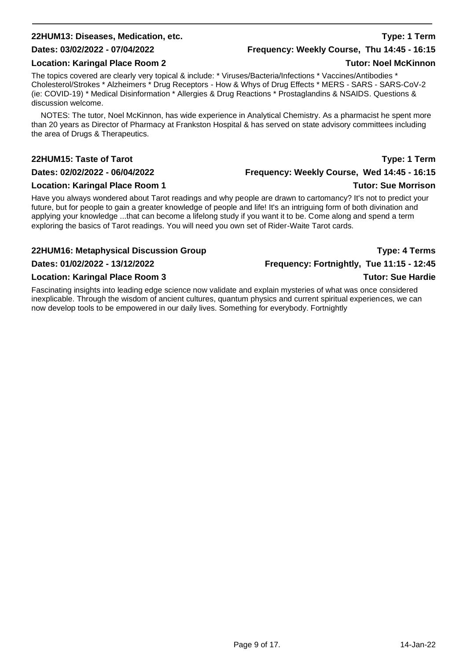### **22HUM13: Diseases, Medication, etc. Type: 1 Term**

#### **Location: Karingal Place Room 2 Tutor: Noel McKinnon**

The topics covered are clearly very topical & include: \* Viruses/Bacteria/Infections \* Vaccines/Antibodies \* Cholesterol/Strokes \* Alzheimers \* Drug Receptors - How & Whys of Drug Effects \* MERS - SARS - SARS-CoV-2 (ie: COVID-19) \* Medical Disinformation \* Allergies & Drug Reactions \* Prostaglandins & NSAIDS. Questions & discussion welcome.

NOTES: The tutor, Noel McKinnon, has wide experience in Analytical Chemistry. As a pharmacist he spent more than 20 years as Director of Pharmacy at Frankston Hospital & has served on state advisory committees including the area of Drugs & Therapeutics.

#### **22HUM15: Taste of Tarot Type: 1 Term**

#### **Dates: 02/02/2022 - 06/04/2022 Frequency: Weekly Course, Wed 14:45 - 16:15**

#### **Location: Karingal Place Room 1** New York 1 2008 1 New York 1 2009 1 New York 1 2009 1 New York 1 2009 1 New York 1 2009 1 New York 1 2009 1 New York 1 2009 1 New York 1 2009 1 New York 1 2009 1 New York 1 2009 1 New York

Have you always wondered about Tarot readings and why people are drawn to cartomancy? It's not to predict your future, but for people to gain a greater knowledge of people and life! It's an intriguing form of both divination and applying your knowledge ...that can become a lifelong study if you want it to be. Come along and spend a term exploring the basics of Tarot readings. You will need you own set of Rider-Waite Tarot cards.

### **22HUM16: Metaphysical Discussion Group Type: 4 Terms**

### **Dates: 01/02/2022 - 13/12/2022 Frequency: Fortnightly, Tue 11:15 - 12:45**

#### **Location: Karingal Place Room 3 Tutor: Sue Hardie**

Fascinating insights into leading edge science now validate and explain mysteries of what was once considered inexplicable. Through the wisdom of ancient cultures, quantum physics and current spiritual experiences, we can now develop tools to be empowered in our daily lives. Something for everybody. Fortnightly

### **Dates: 03/02/2022 - 07/04/2022 Frequency: Weekly Course, Thu 14:45 - 16:15**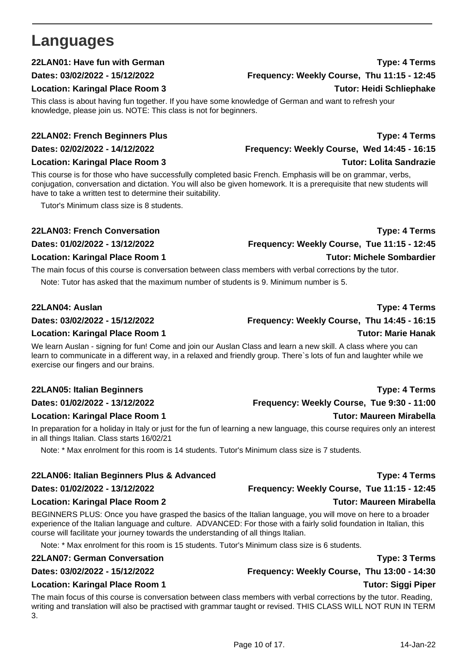# <span id="page-9-0"></span>**Languages**

This class is about having fun together. If you have some knowledge of German and want to refresh your knowledge, please join us. NOTE: This class is not for beginners.

#### **22LAN02: French Beginners Plus Type: 4 Terms**

**Dates: 02/02/2022 - 14/12/2022 Frequency: Weekly Course, Wed 14:45 - 16:15**

#### **Location: Karingal Place Room 3 Tutor: Lolita Sandrazie**

This course is for those who have successfully completed basic French. Emphasis will be on grammar, verbs, conjugation, conversation and dictation. You will also be given homework. It is a prerequisite that new students will have to take a written test to determine their suitability.

Tutor's Minimum class size is 8 students.

The main focus of this course is conversation between class members with verbal corrections by the tutor.

Note: Tutor has asked that the maximum number of students is 9. Minimum number is 5.

#### **22LAN04: Auslan Type: 4 Terms**

**Dates: 03/02/2022 - 15/12/2022 Frequency: Weekly Course, Thu 14:45 - 16:15**

#### **Location: Karingal Place Room 1 Tutor: Marie Hanak**

We learn Auslan - signing for fun! Come and join our Auslan Class and learn a new skill. A class where you can learn to communicate in a different way, in a relaxed and friendly group. There`s lots of fun and laughter while we exercise our fingers and our brains.

### **22LAN05: Italian Beginners Type: 4 Terms**

### **Location: Karingal Place Room 1 New York 1 2008 1 2009 1 2009 1 2009 1 2009 1 2009 1 2009 1 2009 1 2009 1 2009 1 2009 1 2009 1 2009 1 2009 1 2009 1 2009 1 2009 1 2009 1 2009 1 2009 1 2009 1 2009 1 2009 1 2009 1 2009 1 200**

In preparation for a holiday in Italy or just for the fun of learning a new language, this course requires only an interest in all things Italian. Class starts 16/02/21

Note: \* Max enrolment for this room is 14 students. Tutor's Minimum class size is 7 students.

### **22LAN06: Italian Beginners Plus & Advanced Type: 4 Terms**

### **Dates: 01/02/2022 - 13/12/2022 Frequency: Weekly Course, Tue 11:15 - 12:45**

### **Location: Karingal Place Room 2** Tutor: Maureen Mirabella

BEGINNERS PLUS: Once you have grasped the basics of the Italian language, you will move on here to a broader experience of the Italian language and culture. ADVANCED: For those with a fairly solid foundation in Italian, this course will facilitate your journey towards the understanding of all things Italian.

Note: \* Max enrolment for this room is 15 students. Tutor's Minimum class size is 6 students.

### **22LAN07: German Conversation Type: 3 Terms**

### **Dates: 03/02/2022 - 15/12/2022 Frequency: Weekly Course, Thu 13:00 - 14:30**

### **Location: Karingal Place Room 1 Tutor: Siggi Piper**

The main focus of this course is conversation between class members with verbal corrections by the tutor. Reading, writing and translation will also be practised with grammar taught or revised. THIS CLASS WILL NOT RUN IN TERM 3.

# **Dates: 01/02/2022 - 13/12/2022 Frequency: Weekly Course, Tue 9:30 - 11:00**

### **22LAN01: Have fun with German Type: 4 Terms Dates: 03/02/2022 - 15/12/2022 Frequency: Weekly Course, Thu 11:15 - 12:45 Location: Karingal Place Room 3 Tutor: Heidi Schliephake**

# **22LAN03: French Conversation Type: 4 Terms**

**Dates: 01/02/2022 - 13/12/2022 Frequency: Weekly Course, Tue 11:15 - 12:45 Location: Karingal Place Room 1 Tutor: Michele Sombardier**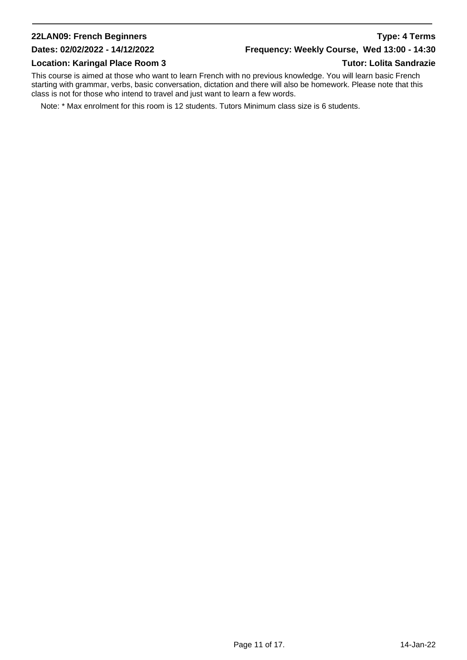### **22LAN09: French Beginners Type: 4 Terms**

### **Dates: 02/02/2022 - 14/12/2022 Frequency: Weekly Course, Wed 13:00 - 14:30**

#### **Location: Karingal Place Room 3 Tutor: Lolita Sandrazie**

This course is aimed at those who want to learn French with no previous knowledge. You will learn basic French starting with grammar, verbs, basic conversation, dictation and there will also be homework. Please note that this class is not for those who intend to travel and just want to learn a few words.

Note: \* Max enrolment for this room is 12 students. Tutors Minimum class size is 6 students.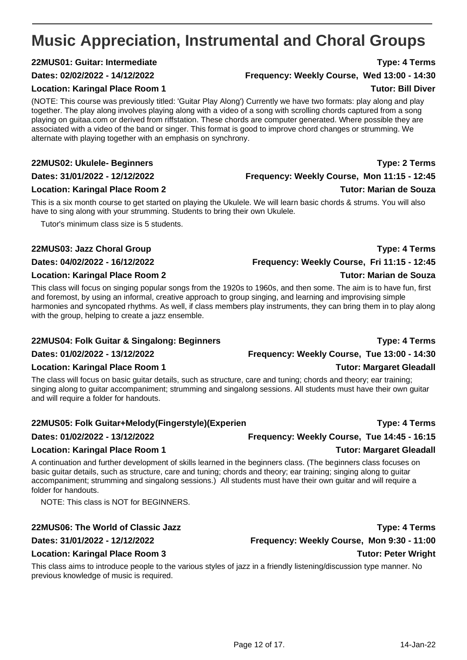# <span id="page-11-0"></span>**Music Appreciation, Instrumental and Choral Groups**

### **22MUS01: Guitar: Intermediate Type: 4 Terms**

#### **Dates: 02/02/2022 - 14/12/2022 Frequency: Weekly Course, Wed 13:00 - 14:30**

#### **Location: Karingal Place Room 1 Tutor: Bill Diver**

(NOTE: This course was previously titled: 'Guitar Play Along') Currently we have two formats: play along and play together. The play along involves playing along with a video of a song with scrolling chords captured from a song playing on guitaa.com or derived from riffstation. These chords are computer generated. Where possible they are associated with a video of the band or singer. This format is good to improve chord changes or strumming. We alternate with playing together with an emphasis on synchrony.

### **22MUS02: Ukulele- Beginners Type: 2 Terms**

**Dates: 31/01/2022 - 12/12/2022 Frequency: Weekly Course, Mon 11:15 - 12:45**

### **Location: Karingal Place Room 2** Tutor: Marian de Souza

This is a six month course to get started on playing the Ukulele. We will learn basic chords & strums. You will also have to sing along with your strumming. Students to bring their own Ukulele.

Tutor's minimum class size is 5 students.

### **22MUS03: Jazz Choral Group Type: 4 Terms**

#### **Location: Karingal Place Room 2 Tutor: Marian de Souza**

This class will focus on singing popular songs from the 1920s to 1960s, and then some. The aim is to have fun, first and foremost, by using an informal, creative approach to group singing, and learning and improvising simple harmonies and syncopated rhythms. As well, if class members play instruments, they can bring them in to play along with the group, helping to create a jazz ensemble.

### **22MUS04: Folk Guitar & Singalong: Beginners Type: 4 Terms**

#### **Location: Karingal Place Room 1 Tutor: Margaret Gleadall**

The class will focus on basic guitar details, such as structure, care and tuning; chords and theory; ear training; singing along to guitar accompaniment; strumming and singalong sessions. All students must have their own guitar and will require a folder for handouts.

### **22MUS05: Folk Guitar+Melody(Fingerstyle)(Experien Type: 4 Terms**

### **Dates: 01/02/2022 - 13/12/2022 Frequency: Weekly Course, Tue 14:45 - 16:15**

### **Location: Karingal Place Room 1 New York 1 2008 1 2009 1 2009 1 2009 1 2009 1 2009 1 2009 1 2009 1 2009 1 2009 1 2009 1 2009 1 2009 1 2009 1 2009 1 2009 1 2009 1 2009 1 2009 1 2009 1 2009 1 2009 1 2009 1 2009 1 2009 1 200**

A continuation and further development of skills learned in the beginners class. (The beginners class focuses on basic guitar details, such as structure, care and tuning; chords and theory; ear training; singing along to guitar accompaniment; strumming and singalong sessions.) All students must have their own guitar and will require a folder for handouts.

NOTE: This class is NOT for BEGINNERS.

### **Location: Karingal Place Room 3 Tutor: Peter Wright**

This class aims to introduce people to the various styles of jazz in a friendly listening/discussion type manner. No previous knowledge of music is required.

Page 12 of 17. 14-Jan-22

**Dates: 01/02/2022 - 13/12/2022 Frequency: Weekly Course, Tue 13:00 - 14:30**

**22MUS06: The World of Classic Jazz Type: 4 Terms**

**Dates: 31/01/2022 - 12/12/2022 Frequency: Weekly Course, Mon 9:30 - 11:00**

**Dates: 04/02/2022 - 16/12/2022 Frequency: Weekly Course, Fri 11:15 - 12:45**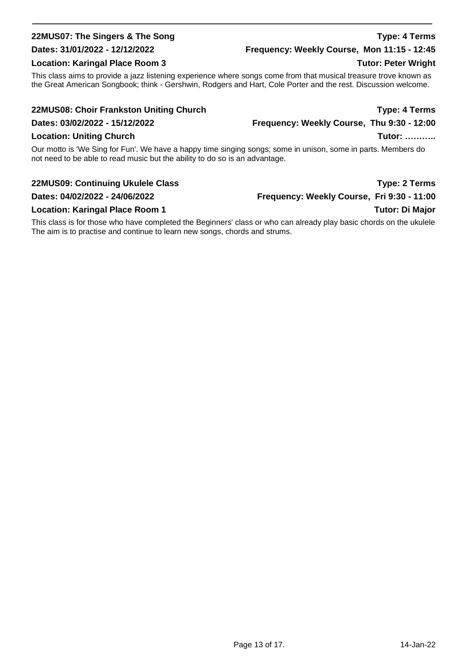### **22MUS07: The Singers & The Song Type: 4 Terms**

### **Dates: 31/01/2022 - 12/12/2022 Frequency: Weekly Course, Mon 11:15 - 12:45**

### **Location: Karingal Place Room 3** Tutor: Peter Wright

This class aims to provide a jazz listening experience where songs come from that musical treasure trove known as the Great American Songbook; think - Gershwin, Rodgers and Hart, Cole Porter and the rest. Discussion welcome.

### **22MUS08: Choir Frankston Uniting Church Type: 4 Terms**

**Dates: 03/02/2022 - 15/12/2022 Frequency: Weekly Course, Thu 9:30 - 12:00**

### **Location: Uniting Church Tutor: ………..** Location: Uniting Church Tutor: ………..

Our motto is 'We Sing for Fun'. We have a happy time singing songs; some in unison, some in parts. Members do not need to be able to read music but the ability to do so is an advantage.

### **22MUS09: Continuing Ukulele Class Type: 2 Terms**

### **Dates: 04/02/2022 - 24/06/2022 Frequency: Weekly Course, Fri 9:30 - 11:00**

### **Location: Karingal Place Room 1 Tutor: Di Major**

This class is for those who have completed the Beginners' class or who can already play basic chords on the ukulele The aim is to practise and continue to learn new songs, chords and strums.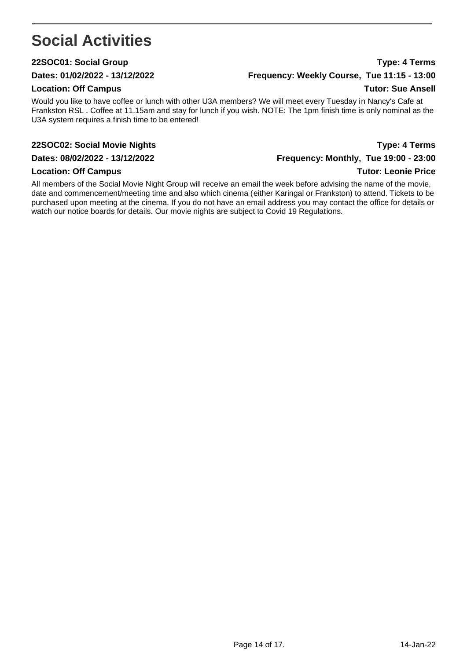# <span id="page-13-0"></span>**Social Activities**

### **22SOC01: Social Group Type: 4 Terms**

#### **Location: Off Campus Tutor: Sue Ansell**

Would you like to have coffee or lunch with other U3A members? We will meet every Tuesday in Nancy's Cafe at Frankston RSL . Coffee at 11.15am and stay for lunch if you wish. NOTE: The 1pm finish time is only nominal as the U3A system requires a finish time to be entered!

### **22SOC02: Social Movie Nights Type: 4 Terms**

All members of the Social Movie Night Group will receive an email the week before advising the name of the movie, date and commencement/meeting time and also which cinema (either Karingal or Frankston) to attend. Tickets to be purchased upon meeting at the cinema. If you do not have an email address you may contact the office for details or watch our notice boards for details. Our movie nights are subject to Covid 19 Regulations.

**Dates: 01/02/2022 - 13/12/2022 Frequency: Weekly Course, Tue 11:15 - 13:00**

**Dates: 08/02/2022 - 13/12/2022 Frequency: Monthly, Tue 19:00 - 23:00 Location: Off Campus Tutor: Leonie Price**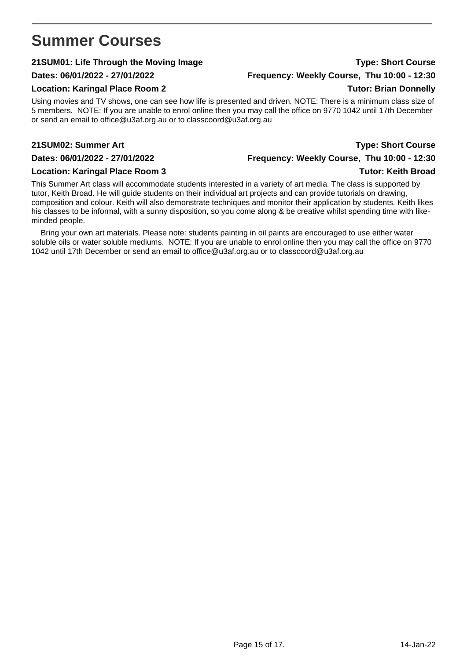## <span id="page-14-0"></span>**Summer Courses**

### **21SUM01: Life Through the Moving Image Type: Short Course**

### **Location: Karingal Place Room 2** Tutor: Brian Donnelly

Using movies and TV shows, one can see how life is presented and driven. NOTE: There is a minimum class size of 5 members. NOTE: If you are unable to enrol online then you may call the office on 9770 1042 until 17th December or send an email to office@u3af.org.au or to classcoord@u3af.org.au

#### **21SUM02: Summer Art Type: Short Course**

This Summer Art class will accommodate students interested in a variety of art media. The class is supported by tutor, Keith Broad. He will guide students on their individual art projects and can provide tutorials on drawing, composition and colour. Keith will also demonstrate techniques and monitor their application by students. Keith likes his classes to be informal, with a sunny disposition, so you come along & be creative whilst spending time with likeminded people.

Bring your own art materials. Please note: students painting in oil paints are encouraged to use either water soluble oils or water soluble mediums. NOTE: If you are unable to enrol online then you may call the office on 9770 1042 until 17th December or send an email to office@u3af.org.au or to classcoord@u3af.org.au

# **Dates: 06/01/2022 - 27/01/2022 Frequency: Weekly Course, Thu 10:00 - 12:30**

**Dates: 06/01/2022 - 27/01/2022 Frequency: Weekly Course, Thu 10:00 - 12:30 Location: Karingal Place Room 3** Tutor: Keith Broad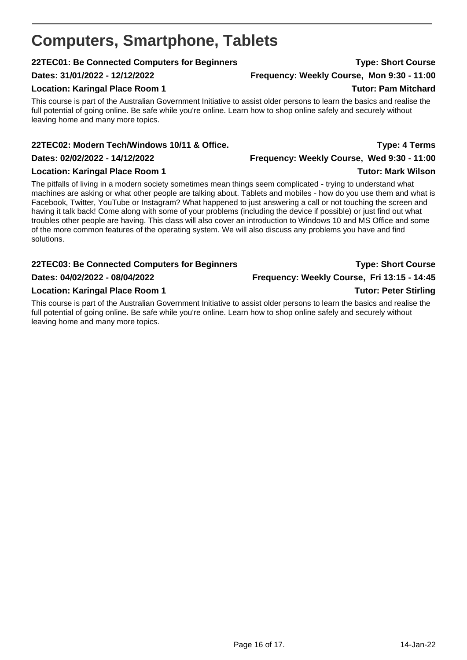# <span id="page-15-0"></span>**Computers, Smartphone, Tablets**

### **22TEC01: Be Connected Computers for Beginners Type: Short Course**

### **Dates: 31/01/2022 - 12/12/2022 Frequency: Weekly Course, Mon 9:30 - 11:00**

### **Location: Karingal Place Room 1 2008 1 2009 1 2009 1 2009 1 2009 1 2009 1 2009 1 2009 1 2009 1 2009 1 2009 1 200**

This course is part of the Australian Government Initiative to assist older persons to learn the basics and realise the full potential of going online. Be safe while you're online. Learn how to shop online safely and securely without leaving home and many more topics.

### **22TEC02: Modern Tech/Windows 10/11 & Office. Type: 4 Terms**

### **Location: Karingal Place Room 1 Tutor: Mark Wilson**

The pitfalls of living in a modern society sometimes mean things seem complicated - trying to understand what machines are asking or what other people are talking about. Tablets and mobiles - how do you use them and what is Facebook, Twitter, YouTube or Instagram? What happened to just answering a call or not touching the screen and having it talk back! Come along with some of your problems (including the device if possible) or just find out what troubles other people are having. This class will also cover an introduction to Windows 10 and MS Office and some of the more common features of the operating system. We will also discuss any problems you have and find solutions.

### **22TEC03: Be Connected Computers for Beginners Type: Short Course**

#### **Dates: 04/02/2022 - 08/04/2022 Frequency: Weekly Course, Fri 13:15 - 14:45**

### **Location: Karingal Place Room 1 Tutor: Peter Stirling**

This course is part of the Australian Government Initiative to assist older persons to learn the basics and realise the full potential of going online. Be safe while you're online. Learn how to shop online safely and securely without leaving home and many more topics.

**Dates: 02/02/2022 - 14/12/2022 Frequency: Weekly Course, Wed 9:30 - 11:00**